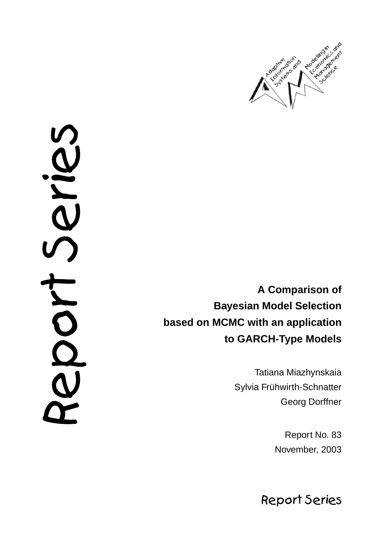

NAS<br>N DON

**A Comparison of Bayesian Model Selection based on MCMC with an application to GARCH-Type Models**

> Tatiana Miazhynskaia Sylvia Frühwirth-Schnatter Georg Dorffner

> > Report No. 83 November, 2003

**Report Series**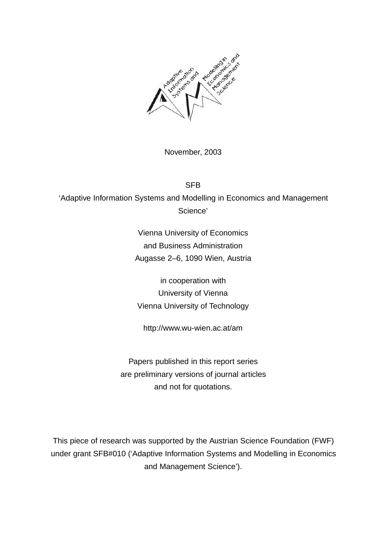

November, 2003

SFB 'Adaptive Information Systems and Modelling in Economics and Management Science'

> Vienna University of Economics and Business Administration Augasse 2–6, 1090 Wien, Austria

in cooperation with University of Vienna Vienna University of Technology

http://www.wu-wien.ac.at/am

Papers published in this report series are preliminary versions of journal articles and not for quotations.

This piece of research was supported by the Austrian Science Foundation (FWF) under grant SFB#010 ('Adaptive Information Systems and Modelling in Economics and Management Science').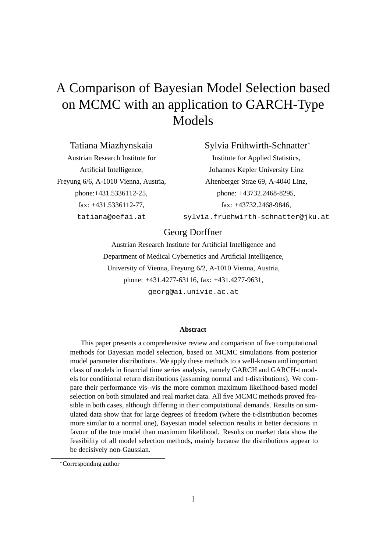# A Comparison of Bayesian Model Selection based on MCMC with an application to GARCH-Type Models

Tatiana Miazhynskaia Austrian Research Institute for Artificial Intelligence, Freyung 6/6, A-1010 Vienna, Austria, phone:+431.5336112-25, fax: +431.5336112-77, tatiana@oefai.at

Sylvia Frühwirth-Schnatter<sup>\*</sup>

Institute for Applied Statistics, Johannes Kepler University Linz Altenberger Strae 69, A-4040 Linz, phone: +43732.2468-8295, fax: +43732.2468-9846, sylvia.fruehwirth-schnatter@jku.at

### Georg Dorffner

Austrian Research Institute for Artificial Intelligence and Department of Medical Cybernetics and Artificial Intelligence, University of Vienna, Freyung 6/2, A-1010 Vienna, Austria, phone: +431.4277-63116, fax: +431.4277-9631, georg@ai.univie.ac.at

#### **Abstract**

This paper presents a comprehensive review and comparison of five computational methods for Bayesian model selection, based on MCMC simulations from posterior model parameter distributions. We apply these methods to a well-known and important class of models in financial time series analysis, namely GARCH and GARCH-t models for conditional return distributions (assuming normal and t-distributions). We compare their performance vis--vis the more common maximum likelihood-based model selection on both simulated and real market data. All five MCMC methods proved feasible in both cases, although differing in their computational demands. Results on simulated data show that for large degrees of freedom (where the t-distribution becomes more similar to a normal one), Bayesian model selection results in better decisions in favour of the true model than maximum likelihood. Results on market data show the feasibility of all model selection methods, mainly because the distributions appear to be decisively non-Gaussian.

Corresponding author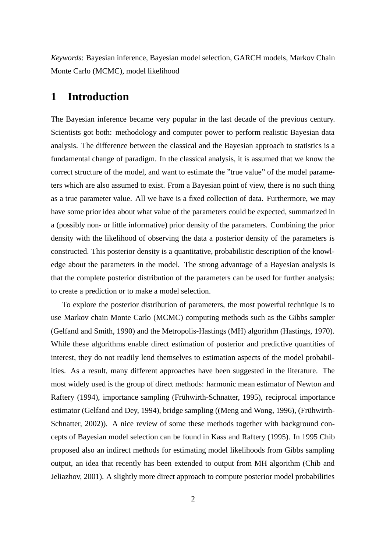*Keywords*: Bayesian inference, Bayesian model selection, GARCH models, Markov Chain Monte Carlo (MCMC), model likelihood

# **1 Introduction**

The Bayesian inference became very popular in the last decade of the previous century. Scientists got both: methodology and computer power to perform realistic Bayesian data analysis. The difference between the classical and the Bayesian approach to statistics is a fundamental change of paradigm. In the classical analysis, it is assumed that we know the correct structure of the model, and want to estimate the "true value" of the model parameters which are also assumed to exist. From a Bayesian point of view, there is no such thing as a true parameter value. All we have is a fixed collection of data. Furthermore, we may have some prior idea about what value of the parameters could be expected, summarized in a (possibly non- or little informative) prior density of the parameters. Combining the prior density with the likelihood of observing the data a posterior density of the parameters is constructed. This posterior density is a quantitative, probabilistic description of the knowledge about the parameters in the model. The strong advantage of a Bayesian analysis is that the complete posterior distribution of the parameters can be used for further analysis: to create a prediction or to make a model selection.

To explore the posterior distribution of parameters, the most powerful technique is to use Markov chain Monte Carlo (MCMC) computing methods such as the Gibbs sampler (Gelfand and Smith, 1990) and the Metropolis-Hastings (MH) algorithm (Hastings, 1970). While these algorithms enable direct estimation of posterior and predictive quantities of interest, they do not readily lend themselves to estimation aspects of the model probabilities. As a result, many different approaches have been suggested in the literature. The most widely used is the group of direct methods: harmonic mean estimator of Newton and Raftery (1994), importance sampling (Frühwirth-Schnatter, 1995), reciprocal importance estimator (Gelfand and Dey, 1994), bridge sampling ((Meng and Wong, 1996), (Frühwirth-Schnatter, 2002)). A nice review of some these methods together with background concepts of Bayesian model selection can be found in Kass and Raftery (1995). In 1995 Chib proposed also an indirect methods for estimating model likelihoods from Gibbs sampling output, an idea that recently has been extended to output from MH algorithm (Chib and Jeliazhov, 2001). A slightly more direct approach to compute posterior model probabilities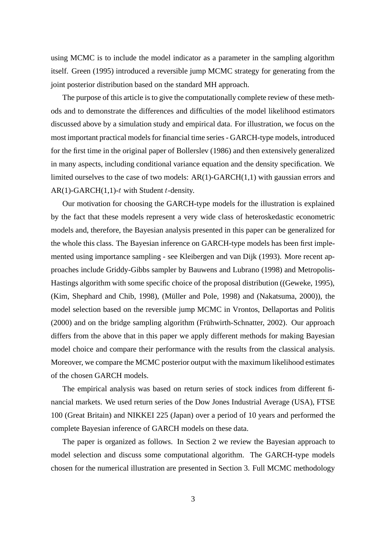using MCMC is to include the model indicator as a parameter in the sampling algorithm itself. Green (1995) introduced a reversible jump MCMC strategy for generating from the joint posterior distribution based on the standard MH approach.

The purpose of this article is to give the computationally complete review of these methods and to demonstrate the differences and difficulties of the model likelihood estimators discussed above by a simulation study and empirical data. For illustration, we focus on the most important practical models for financial time series - GARCH-type models, introduced for the first time in the original paper of Bollerslev (1986) and then extensively generalized in many aspects, including conditional variance equation and the density specification. We limited ourselves to the case of two models: AR(1)-GARCH(1,1) with gaussian errors and  $AR(1)-GARCH(1,1)-t$  with Student t-density.

Our motivation for choosing the GARCH-type models for the illustration is explained by the fact that these models represent a very wide class of heteroskedastic econometric models and, therefore, the Bayesian analysis presented in this paper can be generalized for the whole this class. The Bayesian inference on GARCH-type models has been first implemented using importance sampling - see Kleibergen and van Dijk (1993). More recent approaches include Griddy-Gibbs sampler by Bauwens and Lubrano (1998) and Metropolis-Hastings algorithm with some specific choice of the proposal distribution ((Geweke, 1995), (Kim, Shephard and Chib, 1998), (Müller and Pole, 1998) and (Nakatsuma, 2000)), the model selection based on the reversible jump MCMC in Vrontos, Dellaportas and Politis  $(2000)$  and on the bridge sampling algorithm (Frühwirth-Schnatter, 2002). Our approach differs from the above that in this paper we apply different methods for making Bayesian model choice and compare their performance with the results from the classical analysis. Moreover, we compare the MCMC posterior output with the maximum likelihood estimates of the chosen GARCH models.

The empirical analysis was based on return series of stock indices from different financial markets. We used return series of the Dow Jones Industrial Average (USA), FTSE 100 (Great Britain) and NIKKEI 225 (Japan) over a period of 10 years and performed the complete Bayesian inference of GARCH models on these data.

The paper is organized as follows. In Section 2 we review the Bayesian approach to model selection and discuss some computational algorithm. The GARCH-type models chosen for the numerical illustration are presented in Section 3. Full MCMC methodology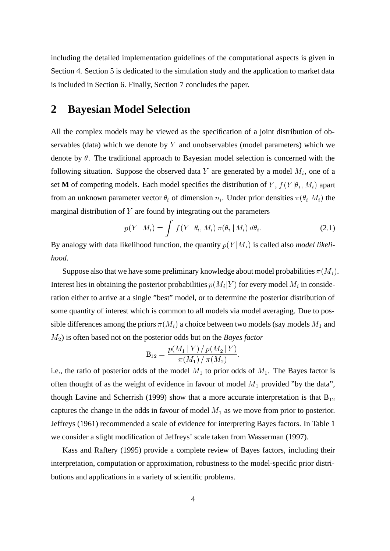including the detailed implementation guidelines of the computational aspects is given in Section 4. Section 5 is dedicated to the simulation study and the application to market data is included in Section 6. Finally, Section 7 concludes the paper.

### **2 Bayesian Model Selection**

All the complex models may be viewed as the specification of a joint distribution of observables (data) which we denote by  $Y$  and unobservables (model parameters) which we denote by  $\theta$ . The traditional approach to Bayesian model selection is concerned with the following situation. Suppose the observed data Y are generated by a model  $M_i$ , one of a set **M** of competing models. Each model specifies the distribution of Y,  $f(Y|\theta_i, M_i)$  apart from an unknown parameter vector  $\theta_i$  of dimension  $n_i$ . Under prior densities  $\pi(\theta_i|M_i)$  the marginal distribution of  $Y$  are found by integrating out the parameters

$$
p(Y \mid M_i) = \int f(Y \mid \theta_i, M_i) \, \pi(\theta_i \mid M_i) \, d\theta_i. \tag{2.1}
$$

By analogy with data likelihood function, the quantity  $p(Y|M_i)$  is called also *model likelihood*.

Suppose also that we have some preliminary knowledge about model probabilities  $\pi(M_i)$ . Interest lies in obtaining the posterior probabilities  $p(M_i|Y)$  for every model  $M_i$  in consideration either to arrive at a single "best" model, or to determine the posterior distribution of some quantity of interest which is common to all models via model averaging. Due to possible differences among the priors  $\pi(M_i)$  a choice between two models (say models  $M_1$  and  $(M<sub>2</sub>)$  is often based not on the posterior odds but on the *Bayes factor* 

$$
\mathbf{B}_{12} = \frac{p(M_1\,|\,Y)\,/\,p(M_2\,|\,Y)}{\pi(M_1)\,/\,\pi(M_2)},
$$

i.e., the ratio of posterior odds of the model  $M_1$  to prior odds of  $M_1$ . The Bayes factor is often thought of as the weight of evidence in favour of model  $M_1$  provided "by the data", though Lavine and Scherrish (1999) show that a more accurate interpretation is that  $B_{12}$ captures the change in the odds in favour of model  $M_1$  as we move from prior to posterior. Jeffreys (1961) recommended a scale of evidence for interpreting Bayes factors. In Table 1 we consider a slight modification of Jeffreys' scale taken from Wasserman (1997).

Kass and Raftery (1995) provide a complete review of Bayes factors, including their interpretation, computation or approximation, robustness to the model-specific prior distributions and applications in a variety of scientific problems.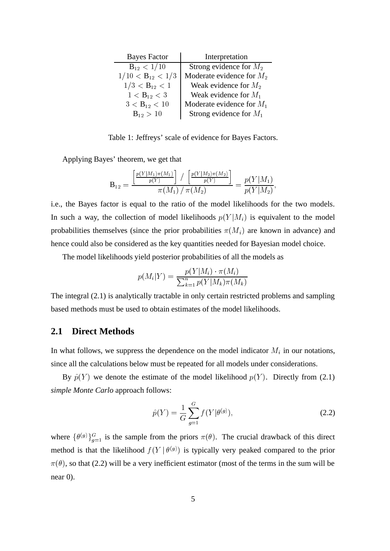| <b>Bayes Factor</b>   | Interpretation              |
|-----------------------|-----------------------------|
| $B_{12} < 1/10$       | Strong evidence for $M_2$   |
| $1/10 < B_{12} < 1/3$ | Moderate evidence for $M_2$ |
| $1/3 < B_{12} < 1$    | Weak evidence for $M_2$     |
| $1 < B_{12} < 3$      | Weak evidence for $M_1$     |
| $3 < B_{12} < 10$     | Moderate evidence for $M_1$ |
| $B_{12} > 10$         | Strong evidence for $M_1$   |

Table 1: Jeffreys' scale of evidence for Bayes Factors.

Applying Bayes' theorem, we get that

$$
\mathbf{B}_{12} = \frac{\left[\frac{p(Y|M_1)\pi(M_1)}{p(Y)}\right] / \left[\frac{p(Y|M_2)\pi(M_2)}{p(Y)}\right]}{\pi(M_1) / \pi(M_2)} = \frac{p(Y|M_1)}{p(Y|M_2)},
$$

i.e., the Bayes factor is equal to the ratio of the model likelihoods for the two models. In such a way, the collection of model likelihoods  $p(Y|M_i)$  is equivalent to the model probabilities themselves (since the prior probabilities  $\pi(M_i)$  are known in advance) and hence could also be considered as the key quantities needed for Bayesian model choice.

The model likelihoods yield posterior probabilities of all the models as

$$
p(M_i|Y) = \frac{p(Y|M_i) \cdot \pi(M_i)}{\sum_{k=1}^n p(Y|M_k)\pi(M_k)}
$$

The integral (2.1) is analytically tractable in only certain restricted problems and sampling based methods must be used to obtain estimates of the model likelihoods.

### **2.1 Direct Methods**

In what follows, we suppress the dependence on the model indicator  $M_i$  in our notations, since all the calculations below must be repeated for all models under considerations.

By  $\hat{p}(Y)$  we denote the estimate of the model likelihood  $p(Y)$ . Directly from (2.1) *simple Monte Carlo* approach follows:

$$
\hat{p}(Y) = \frac{1}{G} \sum_{g=1}^{G} f(Y|\theta^{(g)}),
$$
\n(2.2)

where  $\{\theta^{(g)}\}_{g=1}^G$  is the sample from the priors  $\pi(\theta)$ . The crucial drawback of this direct method is that the likelihood  $f(Y | \theta^{(g)})$  is typically very peaked compared to the prior  $\pi(\theta)$ , so that (2.2) will be a very inefficient estimator (most of the terms in the sum will be near 0).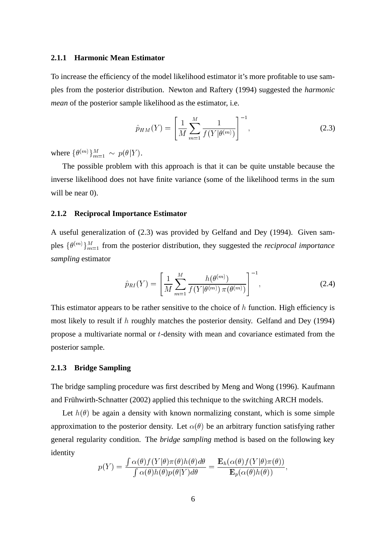#### **2.1.1 Harmonic Mean Estimator**

To increase the efficiency of the model likelihood estimator it's more profitable to use samples from the posterior distribution. Newton and Raftery (1994) suggested the *harmonic mean* of the posterior sample likelihood as the estimator, i.e.

$$
\hat{p}_{HM}(Y) = \left[\frac{1}{M} \sum_{m=1}^{M} \frac{1}{f(Y|\theta^{(m)})}\right]^{-1},
$$
\n(2.3)

where  $\{\theta^{(m)}\}_{m=1}^M \sim p(\theta|Y)$ .

The possible problem with this approach is that it can be quite unstable because the inverse likelihood does not have finite variance (some of the likelihood terms in the sum will be near 0).

#### **2.1.2 Reciprocal Importance Estimator**

A useful generalization of (2.3) was provided by Gelfand and Dey (1994). Given samples  $\{\theta^{(m)}\}_{m=1}^{M}$  from the posterior distribution, they suggested the *reciprocal importance sampling* estimator

$$
\hat{p}_{RI}(Y) = \left[\frac{1}{M} \sum_{m=1}^{M} \frac{h(\theta^{(m)})}{f(Y|\theta^{(m)}) \pi(\theta^{(m)})}\right]^{-1},
$$
\n(2.4)

This estimator appears to be rather sensitive to the choice of  $h$  function. High efficiency is most likely to result if  $h$  roughly matches the posterior density. Gelfand and Dey (1994) propose a multivariate normal or  $t$ -density with mean and covariance estimated from the posterior sample.

#### **2.1.3 Bridge Sampling**

The bridge sampling procedure was first described by Meng and Wong (1996). Kaufmann and Frühwirth-Schnatter (2002) applied this technique to the switching ARCH models.

Let  $h(\theta)$  be again a density with known normalizing constant, which is some simple approximation to the posterior density. Let  $\alpha(\theta)$  be an arbitrary function satisfying rather general regularity condition. The *bridge sampling* method is based on the following key identity

$$
p(Y) = \frac{\int \alpha(\theta) f(Y|\theta) \pi(\theta) h(\theta) d\theta}{\int \alpha(\theta) h(\theta) p(\theta|Y) d\theta} = \frac{\mathbf{E}_h(\alpha(\theta) f(Y|\theta) \pi(\theta))}{\mathbf{E}_p(\alpha(\theta) h(\theta))},
$$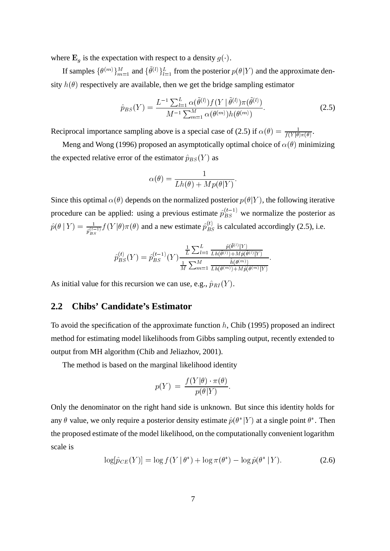where  $\mathbf{E}_q$  is the expectation with respect to a density  $g(\cdot)$ .

If samples  $\{\theta^{(m)}\}_{m=1}^M$  and  $\{\theta^{(l)}\}_{l=1}^L$  from the posterior  $p(\theta|Y)$  and the approximate density  $h(\theta)$  respectively are available, then we get the bridge sampling estimator

$$
\hat{p}_{BS}(Y) = \frac{L^{-1} \sum_{l=1}^{L} \alpha(\tilde{\theta}^{(l)}) f(Y \mid \tilde{\theta}^{(l)}) \pi(\tilde{\theta}^{(l)})}{M^{-1} \sum_{m=1}^{M} \alpha(\theta^{(m)}) h(\theta^{(m)})}.
$$
\n(2.5)

 $\mathcal{L} = \{1, \ldots, n\}$ 

Reciprocal importance sampling above is a special case of (2.5) if  $\alpha(\theta) = \frac{1}{f(Y|\theta)\pi(\theta)}$ .

Meng and Wong (1996) proposed an asymptotically optimal choice of  $\alpha(\theta)$  minimizing the expected relative error of the estimator  $\hat{p}_{BS}(Y)$  as

$$
\alpha(\theta) = \frac{1}{Lh(\theta) + Mp(\theta|Y)}.
$$

Since this optimal  $\alpha(\theta)$  depends on the normalized posterior  $p(\theta|Y)$ , the following iterative procedure can be applied: using a previous estimate  $\hat{p}_{BS}^{(t-1)}$  we normalize the posterior as  $\hat{p}(\theta | Y) = \frac{1}{\hat{p}_{BS}^{(t-1)}} f(Y | \theta) \pi(\theta)$  and a new estimate  $\hat{p}_{BS}^{(t)}$  is calculated accordingly (2.5), i.e.

$$
\hat{p}_{BS}^{(t)}(Y) = \hat{p}_{BS}^{(t-1)}(Y) \frac{\frac{1}{L} \sum_{l=1}^{L} \frac{\hat{p}(\hat{\theta}^{(l)}|Y)}{\frac{1}{M} \sum_{m=1}^{M} \frac{\hat{h}(\hat{\theta}^{(l)}) + M\hat{p}(\hat{\theta}^{(l)})}{\frac{1}{M} \sum_{m=1}^{M} \frac{\hat{h}(\theta^{(m)})}{\text{In}(\theta^{(m)}) + M\hat{p}(\theta^{(m)})Y}}.
$$

As initial value for this recursion we can use, e.g.,  $\hat{p}_{RI}(Y)$ .

### **2.2 Chibs' Candidate's Estimator**

To avoid the specification of the approximate function  $h$ , Chib (1995) proposed an indirect method for estimating model likelihoods from Gibbs sampling output, recently extended to output from MH algorithm (Chib and Jeliazhov, 2001).

The method is based on the marginal likelihood identity

$$
p(Y) = \frac{f(Y|\theta) \cdot \pi(\theta)}{p(\theta|Y)}.
$$

Only the denominator on the right hand side is unknown. But since this identity holds for any  $\theta$  value, we only require a posterior density estimate  $\hat{p}(\theta^*|Y)$  at a single point  $\theta^*$ . Then the proposed estimate of the model likelihood, on the computationally convenient logarithm scale is

$$
\log[\hat{p}_{CE}(Y)] = \log f(Y | \theta^*) + \log \pi(\theta^*) - \log \hat{p}(\theta^* | Y). \tag{2.6}
$$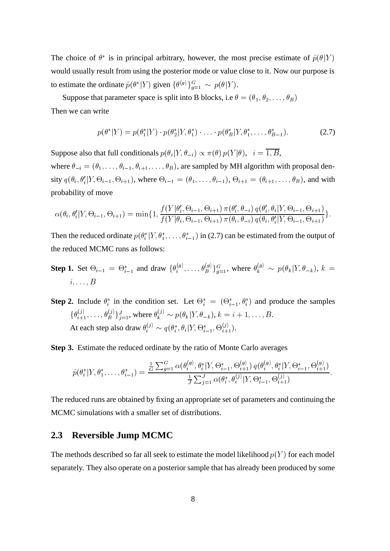The choice of  $\theta^*$  is in principal arbitrary, however, the most precise estimate of  $\hat{p}(\theta|Y)$ would usually result from using the posterior mode or value close to it. Now our purpose is to estimate the ordinate  $\hat{p}(\theta^*|Y)$  given  $\{\theta^{(g)}\}_{g=1}^G \sim p(\theta|Y)$ .

Suppose that parameter space is split into B blocks, i.e  $\theta = (\theta_1, \theta_2, \dots, \theta_B)$ Then we can write

$$
p(\theta^*|Y) = p(\theta_1^*|Y) \cdot p(\theta_2^*|Y, \theta_1^*) \cdot \ldots \cdot p(\theta_B^*|Y, \theta_1^*, \ldots, \theta_{B-1}^*).
$$
 (2.7)

Suppose also that full conditionals  $p(\theta_i|Y, \theta_{-i}) \propto \pi(\theta) p(Y|\theta)$ ,  $i = 1, B$ ,

where  $\theta_{-i} = (\theta_1, \dots, \theta_{i-1}, \theta_{i+1}, \dots, \theta_B)$ , are sampled by MH algorithm with proposal density  $q(\theta_i, \theta_i' | Y, \Theta_{i-1}, \Theta_{i+1})$ , where  $\Theta_{i-1} = (\theta_1, \dots, \theta_{i-1}), \Theta_{i+1} = (\theta_{i+1}, \dots, \theta_B)$ , and with probability of move

$$
\alpha(\theta_i, \theta'_i | Y, \Theta_{i-1}, \Theta_{i+1}) = \min\{1, \frac{f(Y | \theta'_i, \Theta_{i-1}, \Theta_{i+1}) \pi(\theta'_i, \theta_{-i}) q(\theta'_i, \theta_i | Y, \Theta_{i-1}, \Theta_{i+1})}{f(Y | \theta_i, \Theta_{i-1}, \Theta_{i+1}) \pi(\theta_i, \theta_{-i}) q(\theta_i, \theta'_i | Y, \Theta_{i-1}, \Theta_{i+1})}\}.
$$

Then the reduced ordinate  $p(\theta^*_i|Y, \theta^*_1, \dots, \theta^*_{i-1})$  in (2.7) can be estimated from the output of the reduced MCMC runs as follows:

- **Step 1.** Set  $\Theta_{i-1} = \Theta_{i-1}^*$  and draw  $\{\theta_i^{(g)}, \dots, \theta_B^{(g)}\}_{g=1}^G$ , where  $\theta_k^{(g)} \sim p(\theta_k|Y, \theta_{-k}), k =$  $i, \ldots, B$
- **Step 2.** Include  $\theta_i^*$  in the condition set. Let  $\Theta_i^* = (\Theta_{i-1}^*, \theta_i^*)$  and produce the samples  $\{\theta_{i+1}^{(j)},\ldots,\theta_B^{(j)}\}_{j=1}^J$ , where  $\theta_k^{(j)} \sim p(\theta_k|Y,\theta_{-k}), k = i+1,\ldots,B$ . At each step also draw  $\theta_i^{(j)} \sim q(\theta_i^*, \theta_i | Y, \Theta_{i-1}^*, \Theta_{i+1}^{(j)})$ .

**Step 3.** Estimate the reduced ordinate by the ratio of Monte Carlo averages

$$
\hat{p}(\theta_i^* | Y, \theta_1^*, \dots, \theta_{i-1}^*) = \frac{\frac{1}{G} \sum_{g=1}^G \alpha(\theta_i^{(g)}, \theta_i^* | Y, \Theta_{i-1}^*, \Theta_{i+1}^{(g)}) q(\theta_i^{(g)}, \theta_i^* | Y, \Theta_{i-1}^*, \Theta_{i+1}^{(g)})}{\frac{1}{J} \sum_{j=1}^J \alpha(\theta_i^*, \theta_i^{(j)} | Y, \Theta_{i-1}^*, \Theta_{i+1}^{(j)})}.
$$

The reduced runs are obtained by fixing an appropriate set of parameters and continuing the MCMC simulations with a smaller set of distributions.

### **2.3 Reversible Jump MCMC**

The methods described so far all seek to estimate the model likelihood  $p(Y)$  for each model separately. They also operate on a posterior sample that has already been produced by some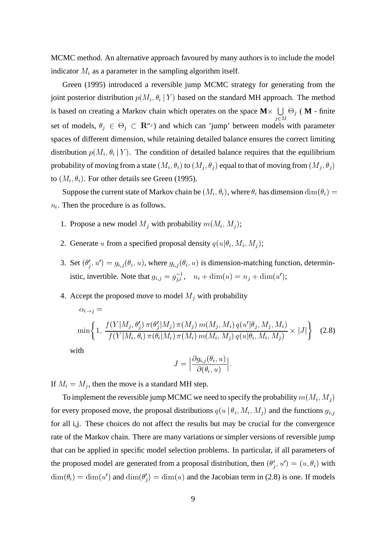MCMC method. An alternative approach favoured by many authors is to include the model indicator  $M_i$  as a parameter in the sampling algorithm itself.

Green (1995) introduced a reversible jump MCMC strategy for generating from the joint posterior distribution  $p(M_i, \theta_i | Y)$  based on the standard MH approach. The method is based on creating a Markov chain which operates on the space  $M \times \bigcup \Theta_i$  (M - finite  $i \in M$ set of models,  $\theta_i \in \Theta_i \subset \mathbb{R}^{n_j}$  and which can 'jump' between models with parameter spaces of different dimension, while retaining detailed balance ensures the correct limiting distribution  $p(M_i, \theta_i | Y)$ . The condition of detailed balance requires that the equilibrium probability of moving from a state  $(M_i, \theta_i)$  to  $(M_j, \theta_j)$  equal to that of moving from  $(M_j, \theta_j)$ to  $(M_i, \theta_i)$ . For other details see Green (1995).

Suppose the current state of Markov chain be  $(M_i, \theta_i)$ , where  $\theta_i$  has dimension  $\dim(\theta_i) =$  $n_i$ . Then the procedure is as follows.

- 1. Propose a new model  $M_i$  with probability  $m(M_i, M_i)$ ;
- 2. Generate u from a specified proposal density  $q(u|\theta_i, M_i, M_j)$ ;
- 3. Set  $(\theta_i', u') = g_{i,j}(\theta_i, u)$ , where  $g_{i,j}(\theta_i, u)$  is dimension-matching function, deterministic, invertible. Note that  $g_{i,j} = g_{i,i}^{-1}$ ,  $n_i + \dim(u) = n_j + \dim(u')$ ;
- 4. Accept the proposed move to model  $M_i$  with probability

$$
\alpha_{i \to j} = \min\left\{1, \frac{f(Y|M_j, \theta'_j) \pi(\theta'_j|M_j) \pi(M_j) m(M_j, M_i) q(u'|\theta_j, M_j, M_i)}{f(Y|M_i, \theta_i) \pi(\theta_i|M_i) \pi(M_i) m(M_i, M_j) q(u|\theta_i, M_i, M_j)} \times |J|\right\}
$$
(2.8)  
with

$$
J=\Big|\frac{\partial g_{i,j}(\theta_i,u)}{\partial(\theta_i,u)}\Big|.
$$

If  $M_i = M_i$ , then the move is a standard MH step.

To implement the reversible jump MCMC we need to specify the probability  $m(M_i, M_i)$ for every proposed move, the proposal distributions  $q(u | \theta_i, M_i, M_j)$  and the functions  $g_{i,j}$ for all i,j. These choices do not affect the results but may be crucial for the convergence rate of the Markov chain. There are many variations or simpler versions of reversible jump that can be applied in specific model selection problems. In particular, if all parameters of the proposed model are generated from a proposal distribution, then  $(\theta_i', u') = (u, \theta_i)$  with  $\dim(\theta_i) = \dim(u')$  and  $\dim(\theta'_i) = \dim(u)$  and the Jacobian term in (2.8) is one. If models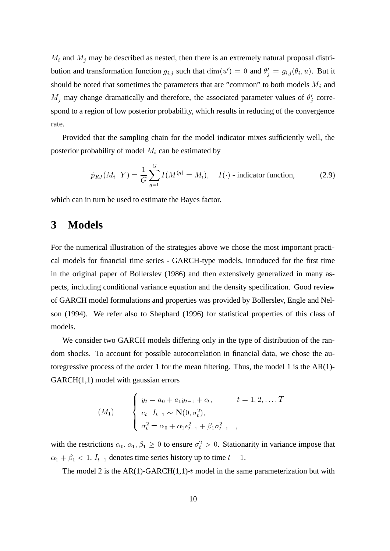$M_i$  and  $M_j$  may be described as nested, then there is an extremely natural proposal distribution and transformation function  $g_{i,j}$  such that  $\dim(u') = 0$  and  $\theta'_{i} = g_{i,j}(\theta_{i}, u)$ . But it should be noted that sometimes the parameters that are "common" to both models  $M_i$  and  $M_j$  may change dramatically and therefore, the associated parameter values of  $\theta'_i$  correspond to a region of low posterior probability, which results in reducing of the convergence rate.

Provided that the sampling chain for the model indicator mixes sufficiently well, the posterior probability of model  $M_i$  can be estimated by

$$
\hat{p}_{RJ}(M_i | Y) = \frac{1}{G} \sum_{g=1}^{G} I(M^{(g)} = M_i), \quad I(\cdot) \text{ - indicator function,}
$$
\n(2.9)

which can in turn be used to estimate the Bayes factor.

# **3 Models**

For the numerical illustration of the strategies above we chose the most important practical models for financial time series - GARCH-type models, introduced for the first time in the original paper of Bollerslev (1986) and then extensively generalized in many aspects, including conditional variance equation and the density specification. Good review of GARCH model formulations and properties was provided by Bollerslev, Engle and Nelson (1994). We refer also to Shephard (1996) for statistical properties of this class of models.

We consider two GARCH models differing only in the type of distribution of the random shocks. To account for possible autocorrelation in financial data, we chose the autoregressive process of the order 1 for the mean filtering. Thus, the model 1 is the AR(1)- GARCH(1,1) model with gaussian errors

$$
(M_1) \qquad \begin{cases} y_t = a_0 + a_1 y_{t-1} + e_t, & t = 1, 2, \dots, T \\ e_t | I_{t-1} \sim \mathbf{N}(0, \sigma_t^2), \\ \sigma_t^2 = \alpha_0 + \alpha_1 e_{t-1}^2 + \beta_1 \sigma_{t-1}^2, \end{cases}
$$

with the restrictions  $\alpha_0, \alpha_1, \beta_1 \geq 0$  to ensure  $\sigma_t^2 > 0$ . Stationarity in variance impose that  $\alpha_1 + \beta_1 < 1$ .  $I_{t-1}$  denotes time series history up to time  $t-1$ .

The model 2 is the  $AR(1)-GARCH(1,1)-t$  model in the same parameterization but with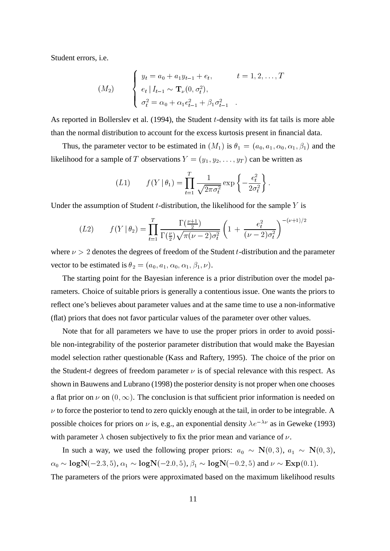Student errors, i.e.

$$
(M_2) \qquad \begin{cases} y_t = a_0 + a_1 y_{t-1} + e_t, & t = 1, 2, \dots, T \\ e_t | I_{t-1} \sim \mathbf{T}_{\nu}(0, \sigma_t^2), \\ \sigma_t^2 = \alpha_0 + \alpha_1 e_{t-1}^2 + \beta_1 \sigma_{t-1}^2 \end{cases}
$$

As reported in Bollerslev et al.  $(1994)$ , the Student *t*-density with its fat tails is more able than the normal distribution to account for the excess kurtosis present in financial data.

Thus, the parameter vector to be estimated in  $(M_1)$  is  $\theta_1 = (a_0, a_1, \alpha_0, \alpha_1, \beta_1)$  and the likelihood for a sample of T observations  $Y = (y_1, y_2, \dots, y_T)$  can be written as

$$
(L1) \t f(Y | \theta_1) = \prod_{t=1}^{T} \frac{1}{\sqrt{2\pi\sigma_t^2}} \exp \left\{-\frac{e_t^2}{2\sigma_t^2}\right\}.
$$

Under the assumption of Student  $t$ -distribution, the likelihood for the sample  $Y$  is

$$
(L2) \t f(Y | \theta_2) = \prod_{t=1}^T \frac{\Gamma(\frac{\nu+1}{2})}{\Gamma(\frac{\nu}{2})\sqrt{\pi(\nu-2)\sigma_t^2}} \left(1 + \frac{e_t^2}{(\nu-2)\sigma_t^2}\right)^{-(\nu+1)/2}
$$

where  $\nu > 2$  denotes the degrees of freedom of the Student t-distribution and the parameter vector to be estimated is  $\theta_2 = (a_0, a_1, \alpha_0, \alpha_1, \beta_1, \nu)$ .

The starting point for the Bayesian inference is a prior distribution over the model parameters. Choice of suitable priors is generally a contentious issue. One wants the priors to reflect one's believes about parameter values and at the same time to use a non-informative (flat) priors that does not favor particular values of the parameter over other values.

Note that for all parameters we have to use the proper priors in order to avoid possible non-integrability of the posterior parameter distribution that would make the Bayesian model selection rather questionable (Kass and Raftery, 1995). The choice of the prior on the Student-t degrees of freedom parameter  $\nu$  is of special relevance with this respect. As shown in Bauwens and Lubrano (1998) the posterior density is not proper when one chooses a flat prior on  $\nu$  on  $(0, \infty)$ . The conclusion is that sufficient prior information is needed on  $\nu$  to force the posterior to tend to zero quickly enough at the tail, in order to be integrable. A possible choices for priors on  $\nu$  is, e.g., an exponential density  $\lambda e^{-\lambda \nu}$  as in Geweke (1993) with parameter  $\lambda$  chosen subjectively to fix the prior mean and variance of  $\nu$ .

In such a way, we used the following proper priors:  $a_0 \sim N(0,3)$ ,  $a_1 \sim N(0,3)$ ,  $\alpha_0 \sim \text{logN}(-2.3, 5)$ ,  $\alpha_1 \sim \text{logN}(-2.0, 5)$ ,  $\beta_1 \sim \text{logN}(-0.2, 5)$  and  $\nu \sim \text{Exp}(0.1)$ .

The parameters of the priors were approximated based on the maximum likelihood results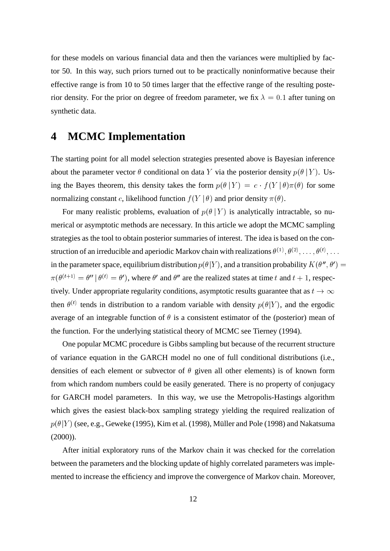for these models on various financial data and then the variances were multiplied by factor 50. In this way, such priors turned out to be practically noninformative because their effective range is from 10 to 50 times larger that the effective range of the resulting posterior density. For the prior on degree of freedom parameter, we fix  $\lambda = 0.1$  after tuning on synthetic data.

# **4 MCMC Implementation**

The starting point for all model selection strategies presented above is Bayesian inference about the parameter vector  $\theta$  conditional on data Y via the posterior density  $p(\theta | Y)$ . Using the Bayes theorem, this density takes the form  $p(\theta | Y) = c \cdot f(Y | \theta) \pi(\theta)$  for some normalizing constant c, likelihood function  $f(Y | \theta)$  and prior density  $\pi(\theta)$ .

For many realistic problems, evaluation of  $p(\theta | Y)$  is analytically intractable, so numerical or asymptotic methods are necessary. In this article we adopt the MCMC sampling strategies as the tool to obtain posterior summaries of interest. The idea is based on the construction of an irreducible and aperiodic Markov chain with realizations  $\theta^{(1)}, \theta^{(2)}, \ldots, \theta^{(t)}, \ldots$ in the parameter space, equilibrium distribution  $p(\theta|Y)$ , and a transition probability  $K(\theta'', \theta') =$  $\pi(\theta^{(t+1)} = \theta' | \theta^{(t)} = \theta')$ , where  $\theta'$  and  $\theta''$  are the realized states at time t and  $t + 1$ , respectively. Under appropriate regularity conditions, asymptotic results guarantee that as  $t \to \infty$ then  $\theta^{(t)}$  tends in distribution to a random variable with density  $p(\theta|Y)$ , and the ergodic average of an integrable function of  $\theta$  is a consistent estimator of the (posterior) mean of the function. For the underlying statistical theory of MCMC see Tierney (1994).

One popular MCMC procedure is Gibbs sampling but because of the recurrent structure of variance equation in the GARCH model no one of full conditional distributions (i.e., densities of each element or subvector of  $\theta$  given all other elements) is of known form from which random numbers could be easily generated. There is no property of conjugacy for GARCH model parameters. In this way, we use the Metropolis-Hastings algorithm which gives the easiest black-box sampling strategy yielding the required realization of  $p(\theta|Y)$  (see, e.g., Geweke (1995), Kim et al. (1998), Müller and Pole (1998) and Nakatsuma  $(2000)$ ).

After initial exploratory runs of the Markov chain it was checked for the correlation between the parameters and the blocking update of highly correlated parameters was implemented to increase the efficiency and improve the convergence of Markov chain. Moreover,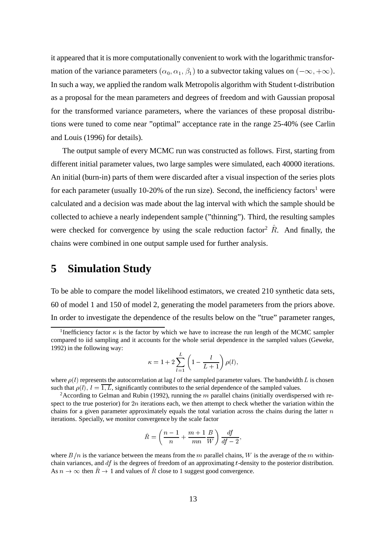it appeared that it is more computationally convenient to work with the logarithmic transformation of the variance parameters  $(\alpha_0, \alpha_1, \beta_1)$  to a subvector taking values on  $(-\infty, +\infty)$ . In such a way, we applied the random walk Metropolis algorithm with Student t-distribution as a proposal for the mean parameters and degrees of freedom and with Gaussian proposal for the transformed variance parameters, where the variances of these proposal distributions were tuned to come near "optimal" acceptance rate in the range 25-40% (see Carlin and Louis (1996) for details).

The output sample of every MCMC run was constructed as follows. First, starting from different initial parameter values, two large samples were simulated, each 40000 iterations. An initial (burn-in) parts of them were discarded after a visual inspection of the series plots for each parameter (usually 10-20% of the run size). Second, the inefficiency factors<sup>1</sup> were calculated and a decision was made about the lag interval with which the sample should be collected to achieve a nearly independent sample ("thinning"). Third, the resulting samples were checked for convergence by using the scale reduction factor<sup>2</sup>  $\hat{R}$ . And finally, the chains were combined in one output sample used for further analysis.

## **5 Simulation Study**

To be able to compare the model likelihood estimators, we created 210 synthetic data sets, 60 of model 1 and 150 of model 2, generating the model parameters from the priors above. In order to investigate the dependence of the results below on the "true" parameter ranges,

$$
\kappa = 1 + 2 \sum_{l=1}^{L} \left( 1 - \frac{l}{L+1} \right) \rho(l),
$$

where  $\rho(l)$  represents the autocorrelation at lag l of the sampled parameter values. The bandwidth L is chosen such that  $\rho(l)$ ,  $l = \overline{1, L}$ , significantly contributes to the serial dependence of the sampled values.

<sup>2</sup> According to Gelman and Rubin (1992), running the  $m$  parallel chains (initially overdispersed with respect to the true posterior) for  $2n$  iterations each, we then attempt to check whether the variation within the chains for a given parameter approximately equals the total variation across the chains during the latter  $n$ iterations. Specially, we monitor convergence by the scale factor

$$
\hat{R} = \left(\frac{n-1}{n} + \frac{m+1}{mn}\frac{B}{W}\right)\frac{df}{df - 2},
$$

**Participate the contract of the contract of the contract of the contract of the contract of the contract of the contract of the contract of the contract of the contract of the contract of the contract of the contract of t** 

where  $B/n$  is the variance between the means from the m parallel chains, W is the average of the m withinchain variances, and  $df$  is the degrees of freedom of an approximating t-density to the posterior distribution. As  $n \to \infty$  then  $R \to 1$  and values of R close to 1 suggest good convergence.

<sup>&</sup>lt;sup>1</sup>Inefficiency factor  $\kappa$  is the factor by which we have to increase the run length of the MCMC sampler compared to iid sampling and it accounts for the whole serial dependence in the sampled values (Geweke, 1992) in the following way: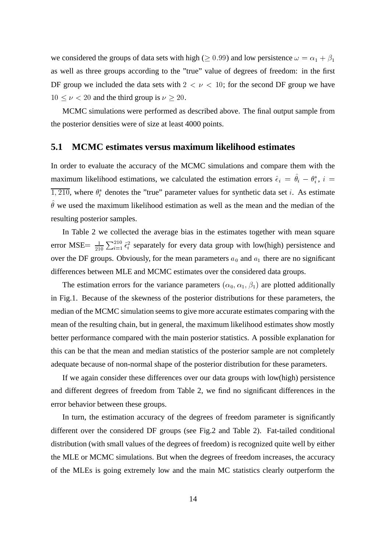we considered the groups of data sets with high ( $\geq 0.99$ ) and low persistence  $\omega = \alpha_1 + \beta_1$ as well as three groups according to the "true" value of degrees of freedom: in the first DF group we included the data sets with  $2 < \nu < 10$ ; for the second DF group we have  $10 \leq \nu < 20$  and the third group is  $\nu \geq 20$ .

MCMC simulations were performed as described above. The final output sample from the posterior densities were of size at least 4000 points.

### **5.1 MCMC estimates versus maximum likelihood estimates**

In order to evaluate the accuracy of the MCMC simulations and compare them with the maximum likelihood estimations, we calculated the estimation errors  $\hat{\epsilon}_i = \theta_i - \theta_i^*$ ,  $i =$  $\overline{1,210}$ , where  $\theta_i^*$  denotes the "true" parameter values for synthetic data set *i*. As estimate  $\theta$  we used the maximum likelihood estimation as well as the mean and the median of the resulting posterior samples.

In Table 2 we collected the average bias in the estimates together with mean square error MSE=  $\frac{1}{210} \sum_{i=1}^{210} \hat{\epsilon}_i^2$  separately for every data group with low(high) persistence and over the DF groups. Obviously, for the mean parameters  $a_0$  and  $a_1$  there are no significant differences between MLE and MCMC estimates over the considered data groups.

The estimation errors for the variance parameters  $(\alpha_0, \alpha_1, \beta_1)$  are plotted additionally in Fig.1. Because of the skewness of the posterior distributions for these parameters, the median of the MCMC simulation seems to give more accurate estimates comparing with the mean of the resulting chain, but in general, the maximum likelihood estimates show mostly better performance compared with the main posterior statistics. A possible explanation for this can be that the mean and median statistics of the posterior sample are not completely adequate because of non-normal shape of the posterior distribution for these parameters.

If we again consider these differences over our data groups with low(high) persistence and different degrees of freedom from Table 2, we find no significant differences in the error behavior between these groups.

In turn, the estimation accuracy of the degrees of freedom parameter is significantly different over the considered DF groups (see Fig.2 and Table 2). Fat-tailed conditional distribution (with small values of the degrees of freedom) is recognized quite well by either the MLE or MCMC simulations. But when the degrees of freedom increases, the accuracy of the MLEs is going extremely low and the main MC statistics clearly outperform the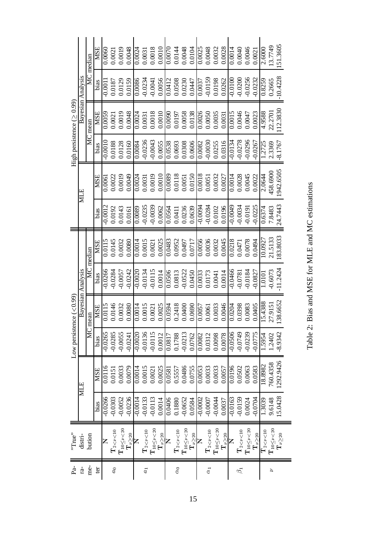Table 2: Bias and MSE for MLE and MC estimations Table 2: Bias and MSE for MLE and MC estimations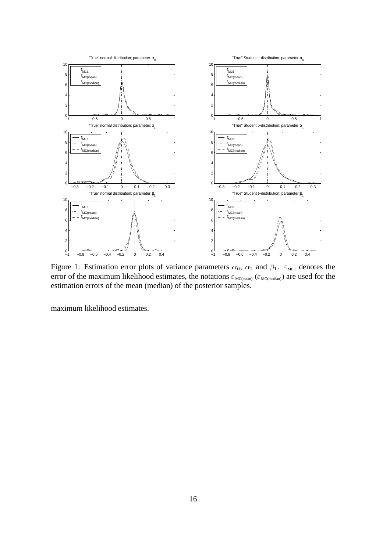

Figure 1: Estimation error plots of variance parameters  $\alpha_0$ ,  $\alpha_1$  and  $\beta_1$ .  $\varepsilon_{MLE}$  denotes the error of the maximum likelihood estimates, the notations  $\varepsilon_{\text{MC(mean)}}$  ( $\varepsilon_{\text{MC(median)}}$ ) are used for the estimation errors of the mean (median) of the posterior samples.

maximum likelihood estimates.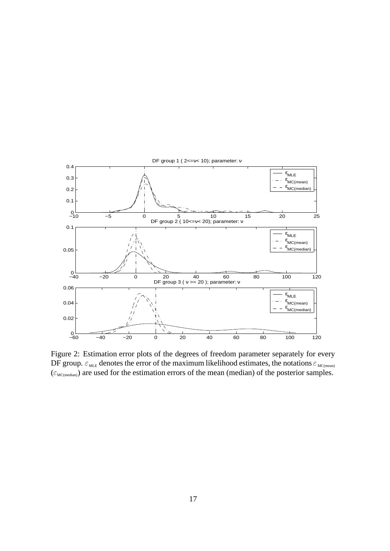

Figure 2: Estimation error plots of the degrees of freedom parameter separately for every DF group.  $\varepsilon_{\text{MLE}}$  denotes the error of the maximum likelihood estimates, the notations  $\varepsilon_{\text{MC(mean)}}$  $(\epsilon_{MC(median)})$  are used for the estimation errors of the mean (median) of the posterior samples.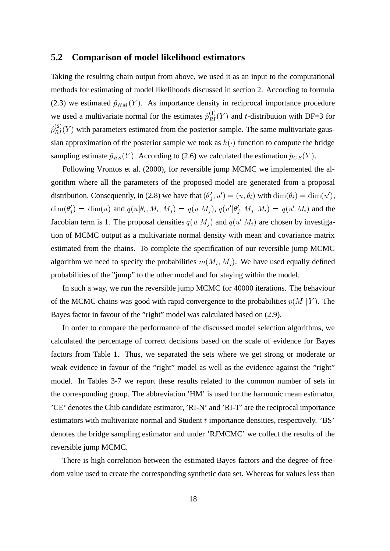#### **5.2 Comparison of model likelihood estimators**

Taking the resulting chain output from above, we used it as an input to the computational methods for estimating of model likelihoods discussed in section 2. According to formula (2.3) we estimated  $\hat{p}_{HM}(Y)$ . As importance density in reciprocal importance procedure we used a multivariate normal for the estimates  $\hat{p}_{RI}^{(1)}(Y)$  and t-distribution with DF=3 for  $\hat{p}_{RI}^{(2)}(Y)$  with parameters estimated from the posterior sample. The same multivariate gaussian approximation of the posterior sample we took as  $h(\cdot)$  function to compute the bridge sampling estimate  $\hat{p}_{BS}(Y)$ . According to (2.6) we calculated the estimation  $\hat{p}_{CE}(Y)$ .

Following Vrontos et al. (2000), for reversible jump MCMC we implemented the algorithm where all the parameters of the proposed model are generated from a proposal distribution. Consequently, in (2.8) we have that  $(\theta'_i, u') = (u, \theta_i)$  with  $\dim(\theta_i) = \dim(u')$ ,  $\dim(\theta_i') = \dim(u)$  and  $q(u|\theta_i, M_i, M_j) = q(u|M_j)$ ,  $q(u'|\theta_i', M_j, M_i) = q(u'|M_i)$  and the Jacobian term is 1. The proposal densities  $q(u|M_i)$  and  $q(u'|M_i)$  are chosen by investigation of MCMC output as a multivariate normal density with mean and covariance matrix estimated from the chains. To complete the specification of our reversible jump MCMC algorithm we need to specify the probabilities  $m(M_i, M_i)$ . We have used equally defined probabilities of the "jump" to the other model and for staying within the model.

In such a way, we run the reversible jump MCMC for 40000 iterations. The behaviour of the MCMC chains was good with rapid convergence to the probabilities  $p(M | Y)$ . The Bayes factor in favour of the "right" model was calculated based on (2.9).

In order to compare the performance of the discussed model selection algorithms, we calculated the percentage of correct decisions based on the scale of evidence for Bayes factors from Table 1. Thus, we separated the sets where we get strong or moderate or weak evidence in favour of the "right" model as well as the evidence against the "right" model. In Tables 3-7 we report these results related to the common number of sets in the corresponding group. The abbreviation 'HM' is used for the harmonic mean estimator, 'CE' denotes the Chib candidate estimator, 'RI-N' and 'RI-T' are the reciprocal importance estimators with multivariate normal and Student t importance densities, respectively. 'BS' denotes the bridge sampling estimator and under 'RJMCMC' we collect the results of the reversible jump MCMC.

There is high correlation between the estimated Bayes factors and the degree of freedom value used to create the corresponding synthetic data set. Whereas for values less than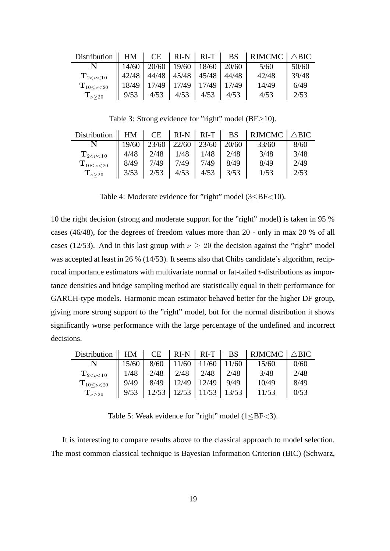| $Distri$ bution             | HM    | CE    |       | $RI-N$ RI-T | <b>BS</b> | $RIMCMC   \triangle BIC$ |       |
|-----------------------------|-------|-------|-------|-------------|-----------|--------------------------|-------|
|                             | 14/60 | 20/60 | 19/60 | 18/60       | 20/60     | 5/60                     | 50/60 |
| $\mathbf{T}_{2 < \nu < 10}$ | 42/48 | 44/48 | 45/48 | 45/48       | 44/48     | 42/48                    | 39/48 |
| ${\bf T}_{10<\nu<20}$       | 18/49 | 17/49 | 17/49 | 17/49       | 17/49     | 14/49                    | 6/49  |
| $\rm T_{\nu>20}$            | 9/53  | 4/53  | 4/53  | 4/53        | 4/53      | 4/53                     | 2/53  |

Table 3: Strong evidence for "right" model ( $BF \ge 10$ ).

| Distribution $\parallel$ HM $\parallel$ CE $\parallel$ RI-N $\parallel$ RI-T $\parallel$ BS |       |      |      |                                   |      | $\vert$ RJMCMC $\vert$ $\triangle$ BIC |      |
|---------------------------------------------------------------------------------------------|-------|------|------|-----------------------------------|------|----------------------------------------|------|
|                                                                                             | 19/60 |      |      | $23/60$   22/60   23/60   20/60   |      | 33/60                                  | 8/60 |
| $\mathbf{T}_{2<\nu<10}$                                                                     | 4/48  | 2/48 | 1/48 | 1/48                              | 2/48 | 3/48                                   | 3/48 |
| ${\bf T}_{10<\nu<20}$                                                                       | 8/49  | 7/49 | 7/49 | 7/49                              | 8/49 | 8/49                                   | 2/49 |
| $\mathbf{T}_{\nu>20}$                                                                       | 3/53  |      |      | $2/53$   $4/53$   $4/53$   $3/53$ |      | 1/53                                   | 2/53 |

Table 4: Moderate evidence for "right" model  $(3 < B$ F $< 10$ ).

10 the right decision (strong and moderate support for the "right" model) is taken in 95 % cases (46/48), for the degrees of freedom values more than 20 - only in max 20 % of all cases (12/53). And in this last group with  $\nu \geq 20$  the decision against the "right" model was accepted at least in 26 % (14/53). It seems also that Chibs candidate's algorithm, reciprocal importance estimators with multivariate normal or fat-tailed  $t$ -distributions as importance densities and bridge sampling method are statistically equal in their performance for GARCH-type models. Harmonic mean estimator behaved better for the higher DF group, giving more strong support to the "right" model, but for the normal distribution it shows significantly worse performance with the large percentage of the undefined and incorrect decisions.

| Distribution                | HM    | <b>CE</b> | $RI-N$ | $RI-T$ | <b>BS</b> | <b>RJMCMC</b> | $\triangle BIC$ |
|-----------------------------|-------|-----------|--------|--------|-----------|---------------|-----------------|
|                             | 15/60 | 8/60      | 11/60  | 11/60  | 11/60     | 15/60         | 0/60            |
| $\mathbf{T}_{2 < \nu < 10}$ | 1/48  | 2/48      | 2/48   | 2/48   | 2/48      | 3/48          | 2/48            |
| ${\bf T}_{10<\nu<20}$       | 9/49  | 8/49      | 12/49  | 12/49  | 9/49      | 10/49         | 8/49            |
| $\rm T_{\nu>20}$            | 9/53  | 12/53     | 12/53  |        | 13/53     | 11/53         | 0/53            |

Table 5: Weak evidence for "right" model  $(1 \leq BF < 3)$ .

It is interesting to compare results above to the classical approach to model selection. The most common classical technique is Bayesian Information Criterion (BIC) (Schwarz,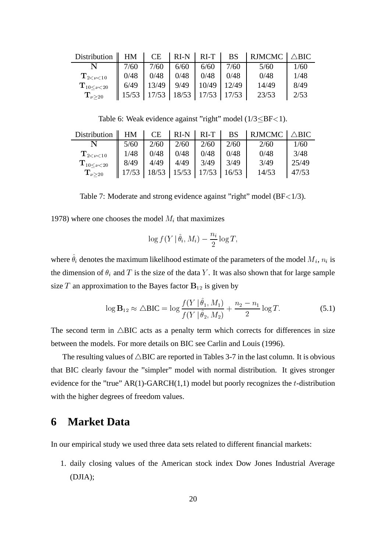| Distribution $\parallel$ HM $\parallel$ |                   |       |       | $CE$   RI-N   RI-T | <b>BS</b> | $RIMCMC \Delta BIC$ |      |
|-----------------------------------------|-------------------|-------|-------|--------------------|-----------|---------------------|------|
|                                         | 7/60              | 7/60  | 6/60  | 6/60               | 7/60      | 5/60                | 1/60 |
| $\mathrm{T}_{2 < \nu < 10}$             | 0/48              | 0/48  | 0/48  | 0/48               | 0/48      | 0/48                | 1/48 |
| ${\bf T}_{10<\nu<20}$                   | 6/49              | 13/49 | 9/49  | 10/49              | 12/49     | 14/49               | 8/49 |
| $\mathbf{T}_{\nu>20}$                   | $\parallel$ 15/53 | 17/53 | 18/53 | 17/53              | 17/53     | 23/53               | 2/53 |

Table 6: Weak evidence against "right" model  $(1/3 < B$ F $< 1$ ).

| Distribution $\parallel$ HM |      | CE    |       | $RI-N$ RI-T BS |       | $RIMCMC \Delta BIC$ |       |
|-----------------------------|------|-------|-------|----------------|-------|---------------------|-------|
|                             | 5/60 | 2/60  | 2/60  | 2/60           | 2/60  | 2/60                | 1/60  |
| $\mathbf{T}_{2<\nu<10}$     | 1/48 | 0/48  | 0/48  | 0/48           | 0/48  | 0/48                | 3/48  |
| ${\bf T}_{10<\nu<20}$       | 8/49 | 4/49  | 4/49  | 3/49           | 3/49  | 3/49                | 25/49 |
| $\mathbf{T}_{\nu>20}$       |      | 18/53 | 15/53 | 17/53          | 16/53 | 14/53               | 47/53 |

Table 7: Moderate and strong evidence against "right" model (BF<1/3).

1978) where one chooses the model  $M_i$  that maximizes

$$
\log f(Y | \hat{\theta}_i, M_i) - \frac{n_i}{2} \log T,
$$

where  $\theta_i$  denotes the maximum likelihood estimate of the parameters of the model  $M_i$ ,  $n_i$  is the dimension of  $\theta_i$  and T is the size of the data Y. It was also shown that for large sample size T an approximation to the Bayes factor  $B_{12}$  is given by

$$
\log \mathbf{B}_{12} \approx \Delta \mathbf{BIC} = \log \frac{f(Y \mid \theta_1, M_1)}{f(Y \mid \hat{\theta}_2, M_2)} + \frac{n_2 - n_1}{2} \log T.
$$
 (5.1)

The second term in  $\triangle BIC$  acts as a penalty term which corrects for differences in size between the models. For more details on BIC see Carlin and Louis (1996).

The resulting values of  $\triangle BIC$  are reported in Tables 3-7 in the last column. It is obvious that BIC clearly favour the "simpler" model with normal distribution. It gives stronger evidence for the "true"  $AR(1)-GARCH(1,1)$  model but poorly recognizes the t-distribution with the higher degrees of freedom values.

## **6 Market Data**

In our empirical study we used three data sets related to different financial markets:

1. daily closing values of the American stock index Dow Jones Industrial Average (DJIA);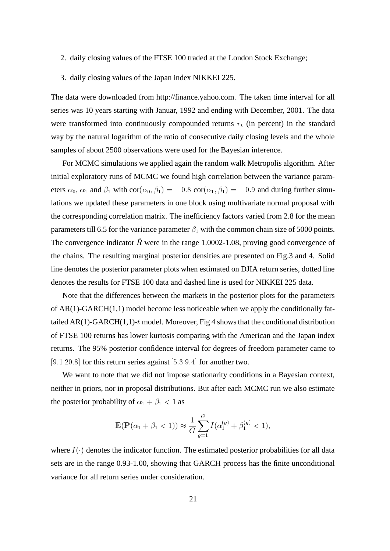- 2. daily closing values of the FTSE 100 traded at the London Stock Exchange;
- 3. daily closing values of the Japan index NIKKEI 225.

The data were downloaded from http://finance.yahoo.com. The taken time interval for all series was 10 years starting with Januar, 1992 and ending with December, 2001. The data were transformed into continuously compounded returns  $r_t$  (in percent) in the standard way by the natural logarithm of the ratio of consecutive daily closing levels and the whole samples of about 2500 observations were used for the Bayesian inference.

For MCMC simulations we applied again the random walk Metropolis algorithm. After initial exploratory runs of MCMC we found high correlation between the variance parameters  $\alpha_0$ ,  $\alpha_1$  and  $\beta_1$  with  $\text{cor}(\alpha_0, \beta_1) = -0.8 \text{ cor}(\alpha_1, \beta_1) = -0.9$  and during further simulations we updated these parameters in one block using multivariate normal proposal with the corresponding correlation matrix. The inefficiency factors varied from 2.8 for the mean parameters till 6.5 for the variance parameter  $\beta_1$  with the common chain size of 5000 points. The convergence indicator R were in the range  $1.0002$ -1.08, proving good convergence of the chains. The resulting marginal posterior densities are presented on Fig.3 and 4. Solid line denotes the posterior parameter plots when estimated on DJIA return series, dotted line denotes the results for FTSE 100 data and dashed line is used for NIKKEI 225 data.

Note that the differences between the markets in the posterior plots for the parameters of  $AR(1)-GARCH(1,1)$  model become less noticeable when we apply the conditionally fattailed AR(1)-GARCH(1,1)-t model. Moreover, Fig 4 shows that the conditional distribution of FTSE 100 returns has lower kurtosis comparing with the American and the Japan index returns. The 95% posterior confidence interval for degrees of freedom parameter came to  $[9.1, 20.8]$  for this return series against  $[5.3, 9.4]$  for another two.

We want to note that we did not impose stationarity conditions in a Bayesian context, neither in priors, nor in proposal distributions. But after each MCMC run we also estimate the posterior probability of  $\alpha_1 + \beta_1 < 1$  as

$$
\mathbf{E}(\mathbf{P}(\alpha_1 + \beta_1 < 1)) \approx \frac{1}{G} \sum_{g=1}^{G} I(\alpha_1^{(g)} + \beta_1^{(g)} < 1),
$$

where  $I(\cdot)$  denotes the indicator function. The estimated posterior probabilities for all data sets are in the range 0.93-1.00, showing that GARCH process has the finite unconditional variance for all return series under consideration.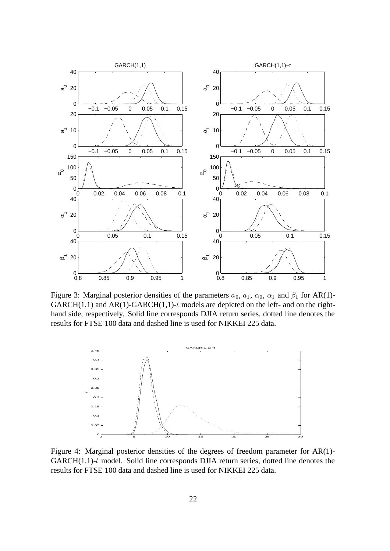

Figure 3: Marginal posterior densities of the parameters  $a_0$ ,  $a_1$ ,  $\alpha_0$ ,  $\alpha_1$  and  $\beta_1$  for AR(1)-GARCH $(1,1)$  and AR $(1)$ -GARCH $(1,1)$ -t models are depicted on the left- and on the righthand side, respectively. Solid line corresponds DJIA return series, dotted line denotes the results for FTSE 100 data and dashed line is used for NIKKEI 225 data.



Figure 4: Marginal posterior densities of the degrees of freedom parameter for AR(1)- GARCH $(1,1)$ -t model. Solid line corresponds DJIA return series, dotted line denotes the results for FTSE 100 data and dashed line is used for NIKKEI 225 data.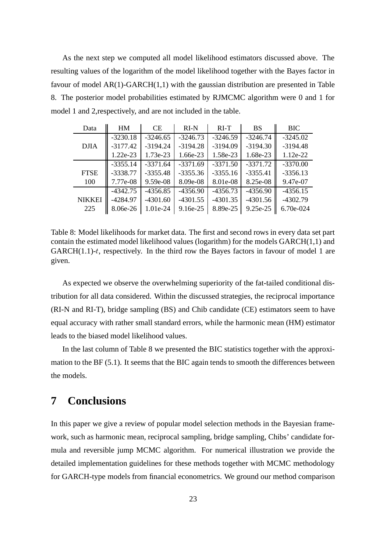As the next step we computed all model likelihood estimators discussed above. The resulting values of the logarithm of the model likelihood together with the Bayes factor in favour of model  $AR(1)-GARCH(1,1)$  with the gaussian distribution are presented in Table 8. The posterior model probabilities estimated by RJMCMC algorithm were 0 and 1 for model 1 and 2,respectively, and are not included in the table.

| Data          | HM         | <b>CE</b>  | $RI-N$     | $RI-T$     | <b>BS</b>  | <b>BIC</b> |
|---------------|------------|------------|------------|------------|------------|------------|
|               | $-3230.18$ | $-3246.65$ | $-3246.73$ | $-3246.59$ | $-3246.74$ | $-3245.02$ |
| <b>DJIA</b>   | $-3177.42$ | $-3194.24$ | $-3194.28$ | $-3194.09$ | $-3194.30$ | $-3194.48$ |
|               | 1.22e-23   | $1.73e-23$ | 1.66e-23   | 1.58e-23   | 1.68e-23   | $1.12e-22$ |
|               | $-3355.14$ | $-3371.64$ | $-3371.69$ | $-3371.50$ | $-3371.72$ | $-3370.00$ |
| <b>FTSE</b>   | $-3338.77$ | $-3355.48$ | $-3355.36$ | $-3355.16$ | $-3355.41$ | $-3356.13$ |
| 100           | 7.77e-08   | $9.59e-08$ | 8.09e-08   | 8.01e-08   | 8.25e-08   | 9.47e-07   |
|               | $-4342.75$ | $-4356.85$ | $-4356.90$ | $-4356.73$ | $-4356.90$ | $-4356.15$ |
| <b>NIKKEI</b> | $-4284.97$ | $-4301.60$ | $-4301.55$ | $-4301.35$ | $-4301.56$ | $-4302.79$ |
| 225           | 8.06e-26   | 1.01e-24   | $9.16e-25$ | 8.89e-25   | 9.25e-25   | 6.70e-024  |

Table 8: Model likelihoods for market data. The first and second rows in every data set part contain the estimated model likelihood values (logarithm) for the models GARCH(1,1) and  $GARCH(1.1)-t$ , respectively. In the third row the Bayes factors in favour of model 1 are given.

As expected we observe the overwhelming superiority of the fat-tailed conditional distribution for all data considered. Within the discussed strategies, the reciprocal importance (RI-N and RI-T), bridge sampling (BS) and Chib candidate (CE) estimators seem to have equal accuracy with rather small standard errors, while the harmonic mean (HM) estimator leads to the biased model likelihood values.

In the last column of Table 8 we presented the BIC statistics together with the approximation to the BF (5.1). It seems that the BIC again tends to smooth the differences between the models.

# **7 Conclusions**

In this paper we give a review of popular model selection methods in the Bayesian framework, such as harmonic mean, reciprocal sampling, bridge sampling, Chibs' candidate formula and reversible jump MCMC algorithm. For numerical illustration we provide the detailed implementation guidelines for these methods together with MCMC methodology for GARCH-type models from financial econometrics. We ground our method comparison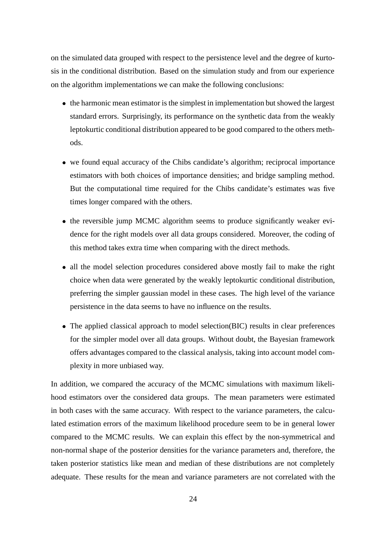on the simulated data grouped with respect to the persistence level and the degree of kurtosis in the conditional distribution. Based on the simulation study and from our experience on the algorithm implementations we can make the following conclusions:

- the harmonic mean estimator is the simplest in implementation but showed the largest standard errors. Surprisingly, its performance on the synthetic data from the weakly leptokurtic conditional distribution appeared to be good compared to the others methods.
- we found equal accuracy of the Chibs candidate's algorithm; reciprocal importance estimators with both choices of importance densities; and bridge sampling method. But the computational time required for the Chibs candidate's estimates was five times longer compared with the others.
- the reversible jump MCMC algorithm seems to produce significantly weaker evidence for the right models over all data groups considered. Moreover, the coding of this method takes extra time when comparing with the direct methods.
- all the model selection procedures considered above mostly fail to make the right choice when data were generated by the weakly leptokurtic conditional distribution, preferring the simpler gaussian model in these cases. The high level of the variance persistence in the data seems to have no influence on the results.
- The applied classical approach to model selection(BIC) results in clear preferences for the simpler model over all data groups. Without doubt, the Bayesian framework offers advantages compared to the classical analysis, taking into account model complexity in more unbiased way.

In addition, we compared the accuracy of the MCMC simulations with maximum likelihood estimators over the considered data groups. The mean parameters were estimated in both cases with the same accuracy. With respect to the variance parameters, the calculated estimation errors of the maximum likelihood procedure seem to be in general lower compared to the MCMC results. We can explain this effect by the non-symmetrical and non-normal shape of the posterior densities for the variance parameters and, therefore, the taken posterior statistics like mean and median of these distributions are not completely adequate. These results for the mean and variance parameters are not correlated with the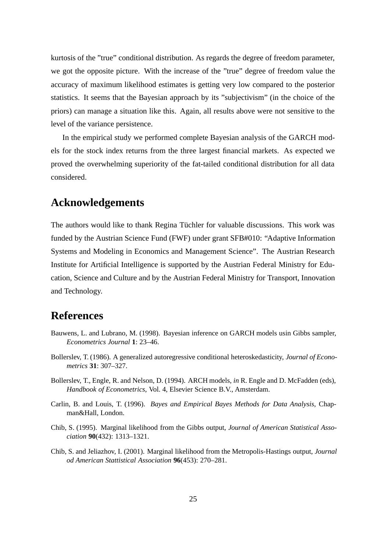kurtosis of the "true" conditional distribution. As regards the degree of freedom parameter, we got the opposite picture. With the increase of the "true" degree of freedom value the accuracy of maximum likelihood estimates is getting very low compared to the posterior statistics. It seems that the Bayesian approach by its "subjectivism" (in the choice of the priors) can manage a situation like this. Again, all results above were not sensitive to the level of the variance persistence.

In the empirical study we performed complete Bayesian analysis of the GARCH models for the stock index returns from the three largest financial markets. As expected we proved the overwhelming superiority of the fat-tailed conditional distribution for all data considered.

## **Acknowledgements**

The authors would like to thank Regina Tüchler for valuable discussions. This work was funded by the Austrian Science Fund (FWF) under grant SFB#010: "Adaptive Information Systems and Modeling in Economics and Management Science". The Austrian Research Institute for Artificial Intelligence is supported by the Austrian Federal Ministry for Education, Science and Culture and by the Austrian Federal Ministry for Transport, Innovation and Technology.

### **References**

- Bauwens, L. and Lubrano, M. (1998). Bayesian inference on GARCH models usin Gibbs sampler, *Econometrics Journal* **1**: 23–46.
- Bollerslev, T. (1986). A generalized autoregressive conditional heteroskedasticity, *Journal of Econometrics* **31**: 307–327.
- Bollerslev, T., Engle, R. and Nelson, D. (1994). ARCH models, *in* R. Engle and D. McFadden (eds), *Handbook of Econometrics*, Vol. 4, Elsevier Science B.V., Amsterdam.
- Carlin, B. and Louis, T. (1996). *Bayes and Empirical Bayes Methods for Data Analysis*, Chapman&Hall, London.
- Chib, S. (1995). Marginal likelihood from the Gibbs output, *Journal of American Statistical Association* **90**(432): 1313–1321.
- Chib, S. and Jeliazhov, I. (2001). Marginal likelihood from the Metropolis-Hastings output, *Journal od American Stattistical Association* **96**(453): 270–281.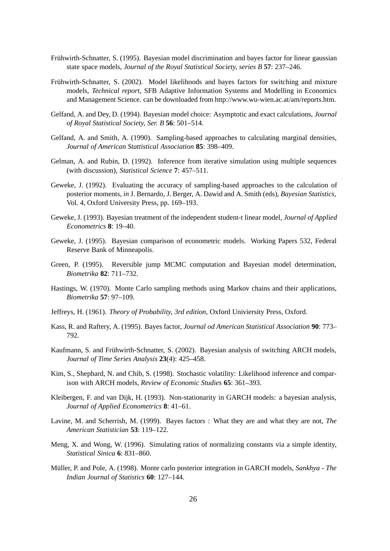- Frühwirth-Schnatter, S. (1995). Bayesian model discrimination and bayes factor for linear gaussian state space models, *Journal of the Royal Statistical Society, series B* **57**: 237–246.
- Frühwirth-Schnatter, S. (2002). Model likelihoods and bayes factors for switching and mixture models, *Technical report*, SFB Adaptive Information Systems and Modelling in Economics and Management Science. can be downloaded from http://www.wu-wien.ac.at/am/reports.htm.
- Gelfand, A. and Dey, D. (1994). Bayesian model choice: Asymptotic and exact calculations, *Journal of Royal Statistical Society, Ser. B* **56**: 501–514.
- Gelfand, A. and Smith, A. (1990). Sampling-based approaches to calculating marginal densities, *Journal of American Stattistical Association* **85**: 398–409.
- Gelman, A. and Rubin, D. (1992). Inference from iterative simulation using multiple sequences (with discussion), *Statistical Science* **7**: 457–511.
- Geweke, J. (1992). Evaluating the accuracy of sampling-based approaches to the calculation of posterior moments, *in* J. Bernardo, J. Berger, A. Dawid and A. Smith (eds), *Bayesian Statistics*, Vol. 4, Oxford University Press, pp. 169–193.
- Geweke, J. (1993). Bayesian treatment of the independent student-t linear model, *Journal of Applied Econometrics* **8**: 19–40.
- Geweke, J. (1995). Bayesian comparison of econometric models. Working Papers 532, Federal Reserve Bank of Minneapolis.
- Green, P. (1995). Reversible jump MCMC computation and Bayesian model determination, *Biometrika* **82**: 711–732.
- Hastings, W. (1970). Monte Carlo sampling methods using Markov chains and their applications, *Biometrika* **57**: 97–109.
- Jeffreys, H. (1961). *Theory of Probability, 3rd edition*, Oxford Univiersity Press, Oxford.
- Kass, R. and Raftery, A. (1995). Bayes factor, *Journal od American Statistical Association* **90**: 773– 792.
- Kaufmann, S. and Frühwirth-Schnatter, S. (2002). Bayesian analysis of switching ARCH models, *Journal of Time Series Analysis* **23**(4): 425–458.
- Kim, S., Shephard, N. and Chib, S. (1998). Stochastic volatility: Likelihood inference and comparison with ARCH models, *Review of Economic Studies* **65**: 361–393.
- Kleibergen, F. and van Dijk, H. (1993). Non-stationarity in GARCH models: a bayesian analysis, *Journal of Applied Econometrics* **8**: 41–61.
- Lavine, M. and Scherrish, M. (1999). Bayes factors : What they are and what they are not, *The American Statistician* **53**: 119–122.
- Meng, X. and Wong, W. (1996). Simulating ratios of normalizing constants via a simple identity, *Statistical Sinica* **6**: 831–860.
- Müller, P. and Pole, A. (1998). Monte carlo posterior integration in GARCH models, *Sankhya The Indian Journal of Statistics* **60**: 127–144.